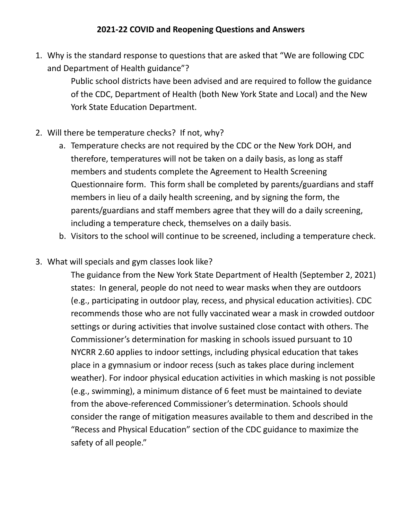1. Why is the standard response to questions that are asked that "We are following CDC and Department of Health guidance"?

> Public school districts have been advised and are required to follow the guidance of the CDC, Department of Health (both New York State and Local) and the New York State Education Department.

- 2. Will there be temperature checks? If not, why?
	- a. Temperature checks are not required by the CDC or the New York DOH, and therefore, temperatures will not be taken on a daily basis, as long as staff members and students complete the Agreement to Health Screening Questionnaire form. This form shall be completed by parents/guardians and staff members in lieu of a daily health screening, and by signing the form, the parents/guardians and staff members agree that they will do a daily screening, including a temperature check, themselves on a daily basis.
	- b. Visitors to the school will continue to be screened, including a temperature check.
- 3. What will specials and gym classes look like?

The guidance from the New York State Department of Health (September 2, 2021) states: In general, people do not need to wear masks when they are outdoors (e.g., participating in outdoor play, recess, and physical education activities). CDC recommends those who are not fully vaccinated wear a mask in crowded outdoor settings or during activities that involve sustained close contact with others. The Commissioner's determination for masking in schools issued pursuant to 10 NYCRR 2.60 applies to indoor settings, including physical education that takes place in a gymnasium or indoor recess (such as takes place during inclement weather). For indoor physical education activities in which masking is not possible (e.g., swimming), a minimum distance of 6 feet must be maintained to deviate from the above-referenced Commissioner's determination. Schools should consider the range of mitigation measures available to them and described in the "Recess and Physical Education" section of the CDC guidance to maximize the safety of all people."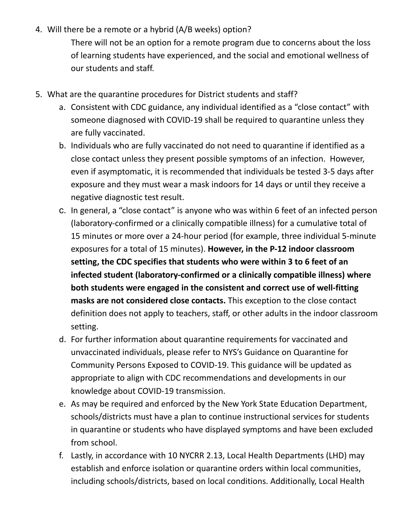4. Will there be a remote or a hybrid (A/B weeks) option?

There will not be an option for a remote program due to concerns about the loss of learning students have experienced, and the social and emotional wellness of our students and staff.

- 5. What are the quarantine procedures for District students and staff?
	- a. Consistent with CDC guidance, any individual identified as a "close contact" with someone diagnosed with COVID-19 shall be required to quarantine unless they are fully vaccinated.
	- b. Individuals who are fully vaccinated do not need to quarantine if identified as a close contact unless they present possible symptoms of an infection. However, even if asymptomatic, it is recommended that individuals be tested 3-5 days after exposure and they must wear a mask indoors for 14 days or until they receive a negative diagnostic test result.
	- c. In general, a "close contact" is anyone who was within 6 feet of an infected person (laboratory-confirmed or a clinically compatible illness) for a cumulative total of 15 minutes or more over a 24-hour period (for example, three individual 5-minute exposures for a total of 15 minutes). **However, in the P-12 indoor classroom setting, the CDC specifies that students who were within 3 to 6 feet of an infected student (laboratory-confirmed or a clinically compatible illness) where both students were engaged in the consistent and correct use of well-fitting masks are not considered close contacts.** This exception to the close contact definition does not apply to teachers, staff, or other adults in the indoor classroom setting.
	- d. For further information about quarantine requirements for vaccinated and unvaccinated individuals, please refer to NYS's Guidance on Quarantine for Community Persons Exposed to COVID-19. This guidance will be updated as appropriate to align with CDC recommendations and developments in our knowledge about COVID-19 transmission.
	- e. As may be required and enforced by the New York State Education Department, schools/districts must have a plan to continue instructional services for students in quarantine or students who have displayed symptoms and have been excluded from school.
	- f. Lastly, in accordance with 10 NYCRR 2.13, Local Health Departments (LHD) may establish and enforce isolation or quarantine orders within local communities, including schools/districts, based on local conditions. Additionally, Local Health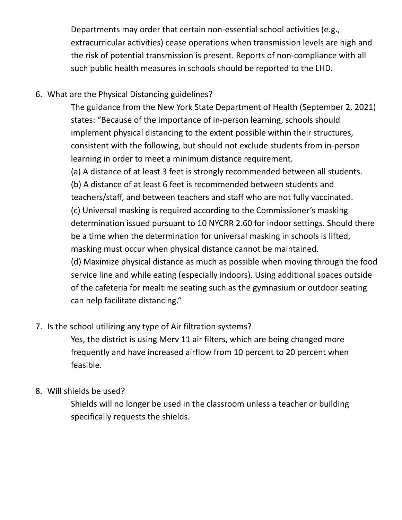Departments may order that certain non-essential school activities (e.g., extracurricular activities) cease operations when transmission levels are high and the risk of potential transmission is present. Reports of non-compliance with all such public health measures in schools should be reported to the LHD.

## 6. What are the Physical Distancing guidelines?

The guidance from the New York State Department of Health (September 2, 2021) states: "Because of the importance of in-person learning, schools should implement physical distancing to the extent possible within their structures, consistent with the following, but should not exclude students from in-person learning in order to meet a minimum distance requirement.

(a) A distance of at least 3 feet is strongly recommended between all students. (b) A distance of at least 6 feet is recommended between students and teachers/staff, and between teachers and staff who are not fully vaccinated. (c) Universal masking is required according to the Commissioner's masking determination issued pursuant to 10 NYCRR 2.60 for indoor settings. Should there be a time when the determination for universal masking in schools is lifted, masking must occur when physical distance cannot be maintained. (d) Maximize physical distance as much as possible when moving through the food service line and while eating (especially indoors). Using additional spaces outside

of the cafeteria for mealtime seating such as the gymnasium or outdoor seating can help facilitate distancing."

## 7. Is the school utilizing any type of Air filtration systems?

Yes, the district is using Merv 11 air filters, which are being changed more frequently and have increased airflow from 10 percent to 20 percent when feasible.

## 8. Will shields be used?

Shields will no longer be used in the classroom unless a teacher or building specifically requests the shields.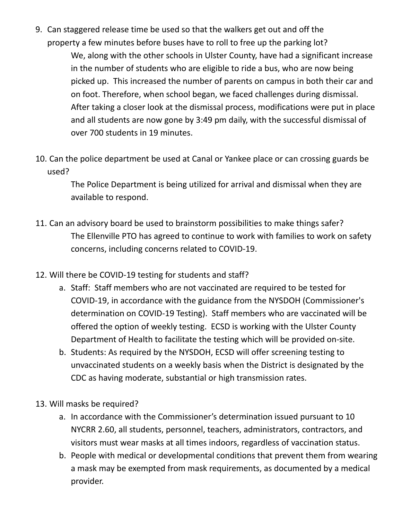9. Can staggered release time be used so that the walkers get out and off the property a few minutes before buses have to roll to free up the parking lot?

> We, along with the other schools in Ulster County, have had a significant increase in the number of students who are eligible to ride a bus, who are now being picked up. This increased the number of parents on campus in both their car and on foot. Therefore, when school began, we faced challenges during dismissal. After taking a closer look at the dismissal process, modifications were put in place and all students are now gone by 3:49 pm daily, with the successful dismissal of over 700 students in 19 minutes.

10. Can the police department be used at Canal or Yankee place or can crossing guards be used?

> The Police Department is being utilized for arrival and dismissal when they are available to respond.

- 11. Can an advisory board be used to brainstorm possibilities to make things safer? The Ellenville PTO has agreed to continue to work with families to work on safety concerns, including concerns related to COVID-19.
- 12. Will there be COVID-19 testing for students and staff?
	- a. Staff: Staff members who are not vaccinated are required to be tested for COVID-19, in accordance with the guidance from the NYSDOH (Commissioner's determination on COVID-19 Testing). Staff members who are vaccinated will be offered the option of weekly testing. ECSD is working with the Ulster County Department of Health to facilitate the testing which will be provided on-site.
	- b. Students: As required by the NYSDOH, ECSD will offer screening testing to unvaccinated students on a weekly basis when the District is designated by the CDC as having moderate, substantial or high transmission rates.
- 13. Will masks be required?
	- a. In accordance with the Commissioner's determination issued pursuant to 10 NYCRR 2.60, all students, personnel, teachers, administrators, contractors, and visitors must wear masks at all times indoors, regardless of vaccination status.
	- b. People with medical or developmental conditions that prevent them from wearing a mask may be exempted from mask requirements, as documented by a medical provider.